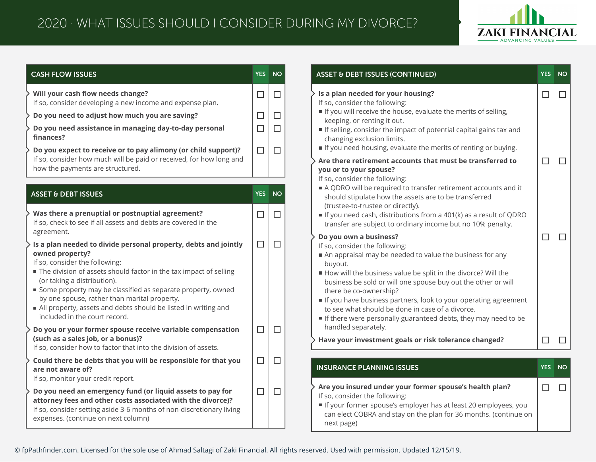

| <b>CASH FLOW ISSUES</b>                                                                                                                                                                                                                                                                                                                                                                                                                    | <b>YES</b> | <b>NO</b> |
|--------------------------------------------------------------------------------------------------------------------------------------------------------------------------------------------------------------------------------------------------------------------------------------------------------------------------------------------------------------------------------------------------------------------------------------------|------------|-----------|
| Will your cash flow needs change?<br>If so, consider developing a new income and expense plan.                                                                                                                                                                                                                                                                                                                                             | $\Box$     | $\Box$    |
| Do you need to adjust how much you are saving?                                                                                                                                                                                                                                                                                                                                                                                             | $\Box$     | □         |
| Do you need assistance in managing day-to-day personal<br>finances?                                                                                                                                                                                                                                                                                                                                                                        | $\Box$     | $\Box$    |
| Do you expect to receive or to pay alimony (or child support)?<br>If so, consider how much will be paid or received, for how long and<br>how the payments are structured.                                                                                                                                                                                                                                                                  | $\Box$     | $\Box$    |
|                                                                                                                                                                                                                                                                                                                                                                                                                                            |            |           |
| <b>ASSET &amp; DEBT ISSUES</b>                                                                                                                                                                                                                                                                                                                                                                                                             | <b>YES</b> | <b>NO</b> |
| Was there a prenuptial or postnuptial agreement?<br>If so, check to see if all assets and debts are covered in the<br>agreement.                                                                                                                                                                                                                                                                                                           | $\Box$     | $\Box$    |
| Is a plan needed to divide personal property, debts and jointly<br>owned property?<br>If so, consider the following:<br>The division of assets should factor in the tax impact of selling<br>(or taking a distribution).<br>Some property may be classified as separate property, owned<br>by one spouse, rather than marital property.<br>All property, assets and debts should be listed in writing and<br>included in the court record. | $\Box$     | □         |
| Do you or your former spouse receive variable compensation<br>(such as a sales job, or a bonus)?<br>If so, consider how to factor that into the division of assets.                                                                                                                                                                                                                                                                        | $\Box$     | $\Box$    |
| Could there be debts that you will be responsible for that you<br>are not aware of?<br>If so, monitor your credit report.                                                                                                                                                                                                                                                                                                                  | $\Box$     | П         |
| Do you need an emergency fund (or liquid assets to pay for<br>attorney fees and other costs associated with the divorce)?<br>If so, consider setting aside 3-6 months of non-discretionary living                                                                                                                                                                                                                                          | $\Box$     | □         |

| <b>ASSET &amp; DEBT ISSUES (CONTINUED)</b>                                                                                                                                                                                                                                                                                                                                                                                                                                                                  | <b>YES</b> | <b>NO</b> |
|-------------------------------------------------------------------------------------------------------------------------------------------------------------------------------------------------------------------------------------------------------------------------------------------------------------------------------------------------------------------------------------------------------------------------------------------------------------------------------------------------------------|------------|-----------|
| Is a plan needed for your housing?<br>If so, consider the following:<br>If you will receive the house, evaluate the merits of selling,<br>keeping, or renting it out.<br>If selling, consider the impact of potential capital gains tax and<br>changing exclusion limits.<br>If you need housing, evaluate the merits of renting or buying.                                                                                                                                                                 | п          | □         |
| Are there retirement accounts that must be transferred to<br>you or to your spouse?<br>If so, consider the following:<br>A QDRO will be required to transfer retirement accounts and it<br>should stipulate how the assets are to be transferred<br>(trustee-to-trustee or directly).<br>If you need cash, distributions from a 401(k) as a result of QDRO<br>transfer are subject to ordinary income but no 10% penalty.                                                                                   |            |           |
| Do you own a business?<br>If so, consider the following:<br>An appraisal may be needed to value the business for any<br>buyout.<br>How will the business value be split in the divorce? Will the<br>business be sold or will one spouse buy out the other or will<br>there be co-ownership?<br>If you have business partners, look to your operating agreement<br>to see what should be done in case of a divorce.<br>If there were personally guaranteed debts, they may need to be<br>handled separately. | П          | $\Box$    |
| Have your investment goals or risk tolerance changed?                                                                                                                                                                                                                                                                                                                                                                                                                                                       | П          |           |
| <b>INSURANCE PLANNING ISSUES</b>                                                                                                                                                                                                                                                                                                                                                                                                                                                                            | <b>YES</b> | <b>NO</b> |
| Are you insured under your former spouse's health plan?<br>If so, consider the following:<br>If your former spouse's employer has at least 20 employees, you<br>can elect COBRA and stay on the plan for 36 months. (continue on<br>next page)                                                                                                                                                                                                                                                              | П          | $\Box$    |

© fpPathfinder.com. Licensed for the sole use of Ahmad Saltagi of Zaki Financial. All rights reserved. Used with permission. Updated 12/15/19.